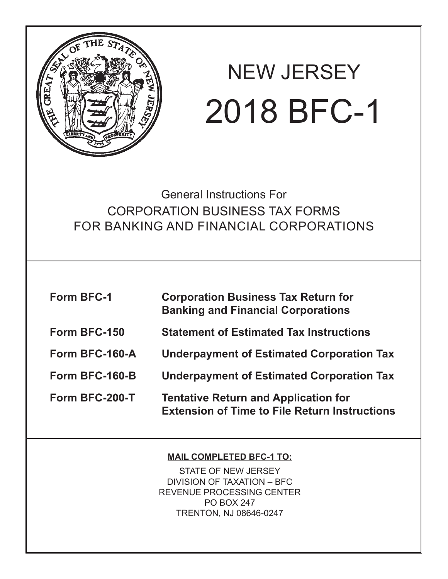

# NEW JERSEY 2018 BFC-1

General Instructions For CORPORATION BUSINESS TAX FORMS FOR BANKING AND FINANCIAL CORPORATIONS

| <b>Form BFC-1</b> | <b>Corporation Business Tax Return for</b><br><b>Banking and Financial Corporations</b>             |
|-------------------|-----------------------------------------------------------------------------------------------------|
| Form BFC-150      | <b>Statement of Estimated Tax Instructions</b>                                                      |
| Form BFC-160-A    | <b>Underpayment of Estimated Corporation Tax</b>                                                    |
| Form BFC-160-B    | <b>Underpayment of Estimated Corporation Tax</b>                                                    |
| Form BFC-200-T    | <b>Tentative Return and Application for</b><br><b>Extension of Time to File Return Instructions</b> |

#### **MAIL COMPLETED BFC-1 TO:**

STATE OF NEW JERSEY DIVISION OF TAXATION – BFC REVENUE PROCESSING CENTER PO BOX 247 TRENTON, NJ 08646-0247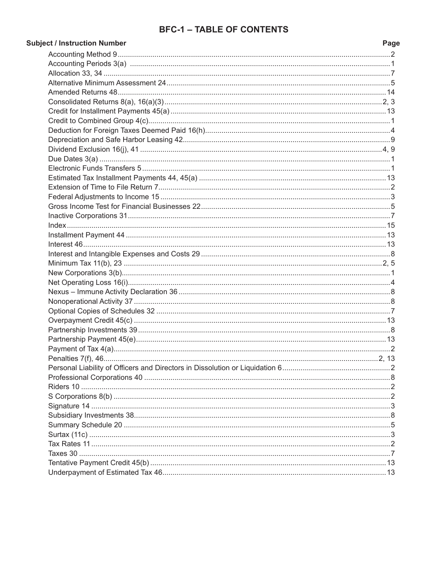#### **BFC-1 - TABLE OF CONTENTS**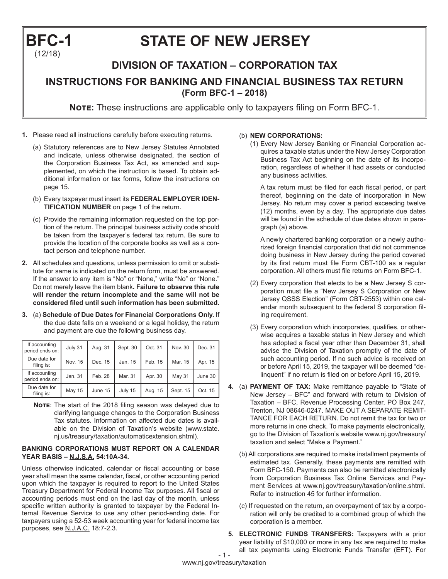## **BFC-1 STATE OF NEW JERSEY** (12/18)

### **DIVISION OF TAXATION – CORPORATION TAX INSTRUCTIONS FOR BANKING AND FINANCIAL BUSINESS TAX RETURN (Form BFC-1 – 2018)**

**Note:** These instructions are applicable only to taxpayers filing on Form BFC-1.

- **1.** Please read all instructions carefully before executing returns.
	- (a) Statutory references are to New Jersey Statutes Annotated and indicate, unless otherwise designated, the section of the Corporation Business Tax Act, as amended and supplemented, on which the instruction is based. To obtain additional information or tax forms, follow the instructions on page 15.
	- (b) Every taxpayer must insert its **FEDERAL EMPLOYER IDEN-TIFICATION NUMBER** on page 1 of the return.
	- (c) Provide the remaining information requested on the top portion of the return. The principal business activity code should be taken from the taxpayer's federal tax return. Be sure to provide the location of the corporate books as well as a contact person and telephone number.
- **2.** All schedules and questions, unless permission to omit or substitute for same is indicated on the return form, must be answered. If the answer to any item is "No" or "None," write "No" or "None." Do not merely leave the item blank**. Failure to observe this rule will render the return incomplete and the same will not be considered filed until such information has been submitted.**
- **3.** (a) **Schedule of Due Dates for Financial Corporations Only.** If the due date falls on a weekend or a legal holiday, the return and payment are due the following business day.

| If accounting<br>period ends on: | July 31 | Aug. 31 | Sept. 30 | Oct. 31 | Nov. 30  | Dec. 31 |
|----------------------------------|---------|---------|----------|---------|----------|---------|
| Due date for<br>filing is:       | Nov. 15 | Dec. 15 | Jan. 15  | Feb. 15 | Mar. 15  | Apr. 15 |
| If accounting<br>period ends on: | Jan. 31 | Feb. 28 | Mar. 31  | Apr. 30 | May 31   | June 30 |
| Due date for<br>filing is:       | May 15  | June 15 | July 15  | Aug. 15 | Sept. 15 | Oct. 15 |

**Note**: The start of the 2018 filing season was delayed due to clarifying language changes to the Corporation Business Tax statutes. Information on affected due dates is available on the Division of Taxation's website (www.state. nj.us/treasury/taxation/automaticextension.shtml).

#### **BANKING CORPORATIONS MUST REPORT ON A CALENDAR YEAR BASIS – N.J.S.A. 54:10A-34.**

Unless otherwise indicated, calendar or fiscal accounting or base year shall mean the same calendar, fiscal, or other accounting period upon which the taxpayer is required to report to the United States Treasury Department for Federal Income Tax purposes. All fiscal or accounting periods must end on the last day of the month, unless specific written authority is granted to taxpayer by the Federal Internal Revenue Service to use any other period-ending date. For taxpayers using a 52-53 week accounting year for federal income tax purposes, see N.J.A.C. 18:7-2.3.

#### (b) **NEW CORPORATIONS:**

(1) Every New Jersey Banking or Financial Corporation acquires a taxable status under the New Jersey Corporation Business Tax Act beginning on the date of its incorporation, regardless of whether it had assets or conducted any business activities.

A tax return must be filed for each fiscal period, or part thereof, beginning on the date of incorporation in New Jersey. No return may cover a period exceeding twelve (12) months, even by a day. The appropriate due dates will be found in the schedule of due dates shown in paragraph (a) above.

A newly chartered banking corporation or a newly authorized foreign financial corporation that did not commence doing business in New Jersey during the period covered by its first return must file Form CBT-100 as a regular corporation. All others must file returns on Form BFC-1.

- (2) Every corporation that elects to be a New Jersey S corporation must file a "New Jersey S Corporation or New Jersey QSSS Election" (Form CBT-2553) within one calendar month subsequent to the federal S corporation filing requirement.
- (3) Every corporation which incorporates, qualifies, or otherwise acquires a taxable status in New Jersey and which has adopted a fiscal year other than December 31, shall advise the Division of Taxation promptly of the date of such accounting period. If no such advice is received on or before April 15, 2019, the taxpayer will be deemed "delinquent" if no return is filed on or before April 15, 2019.
- **4.** (a) **PAYMENT OF TAX:** Make remittance payable to "State of New Jersey – BFC" and forward with return to Division of Taxation – BFC, Revenue Processing Center, PO Box 247, Trenton, NJ 08646-0247. MAKE OUT A SEPARATE REMIT-TANCE FOR EACH RETURN. Do not remit the tax for two or more returns in one check. To make payments electronically, go to the Division of Taxation's website www.nj.gov/treasury/ taxation and select "Make a Payment."
	- (b) All corporations are required to make installment payments of estimated tax. Generally, these payments are remitted with Form BFC-150. Payments can also be remitted electronically from Corporation Business Tax Online Services and Payment Services at www.nj.gov/treasury/taxation/online.shtml. Refer to instruction 45 for further information.
	- (c) If requested on the return, an overpayment of tax by a corporation will only be credited to a combined group of which the corporation is a member.
- $-1 -$ **5. ELECTRONIC FUNDS TRANSFERS:** Taxpayers with a prior year liability of \$10,000 or more in any tax are required to make all tax payments using Electronic Funds Transfer (EFT). For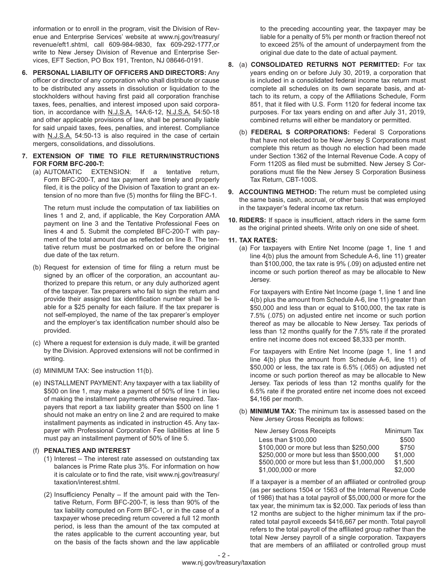information or to enroll in the program, visit the Division of Revenue and Enterprise Services' website at www.nj.gov/treasury/ revenue/eft1.shtml, call 609-984-9830, fax 609-292-1777,or write to New Jersey Division of Revenue and Enterprise Services, EFT Section, PO Box 191, Trenton, NJ 08646-0191.

**6. PERSONAL LIABILITY OF OFFICERS AND DIRECTORS:** Any officer or director of any corporation who shall distribute or cause to be distributed any assets in dissolution or liquidation to the stockholders without having first paid all corporation franchise taxes, fees, penalties, and interest imposed upon said corporation, in accordance with N.J.S.A. 14A:6-12, N.J.S.A. 54:50-18 and other applicable provisions of law, shall be personally liable for said unpaid taxes, fees, penalties, and interest. Compliance with N.J.S.A. 54:50-13 is also required in the case of certain mergers, consolidations, and dissolutions.

#### **7. EXTENSION OF TIME TO FILE RETURN/INSTRUCTIONS FOR FORM BFC-200-T:**

(a) AUTOMATIC EXTENSION: If a tentative return, Form BFC-200-T, and tax payment are timely and properly filed, it is the policy of the Division of Taxation to grant an extension of no more than five (5) months for filing the BFC-1.

The return must include the computation of tax liabilities on lines 1 and 2, and, if applicable, the Key Corporation AMA payment on line 3 and the Tentative Professional Fees on lines 4 and 5. Submit the completed BFC-200-T with payment of the total amount due as reflected on line 8. The tentative return must be postmarked on or before the original due date of the tax return.

- (b) Request for extension of time for filing a return must be signed by an officer of the corporation, an accountant authorized to prepare this return, or any duly authorized agent of the taxpayer. Tax preparers who fail to sign the return and provide their assigned tax identification number shall be liable for a \$25 penalty for each failure. If the tax preparer is not self-employed, the name of the tax preparer's employer and the employer's tax identification number should also be provided.
- (c) Where a request for extension is duly made, it will be granted by the Division. Approved extensions will not be confirmed in writing.
- (d) MINIMUM TAX: See instruction 11(b).
- (e) INSTALLMENT PAYMENT: Any taxpayer with a tax liability of \$500 on line 1, may make a payment of 50% of line 1 in lieu of making the installment payments otherwise required. Taxpayers that report a tax liability greater than \$500 on line 1 should not make an entry on line 2 and are required to make installment payments as indicated in instruction 45. Any taxpayer with Professional Corporation Fee liabilities at line 5 must pay an installment payment of 50% of line 5.

#### (f) **PENALTIES AND INTEREST**

- (1) Interest The interest rate assessed on outstanding tax balances is Prime Rate plus 3%. For information on how it is calculate or to find the rate, visit www.nj.gov/treasury/ taxation/interest.shtml.
- (2) Insufficiency Penalty If the amount paid with the Tentative Return, Form BFC-200-T, is less than 90% of the tax liability computed on Form BFC-1, or in the case of a taxpayer whose preceding return covered a full 12 month period, is less than the amount of the tax computed at the rates applicable to the current accounting year, but on the basis of the facts shown and the law applicable

to the preceding accounting year, the taxpayer may be liable for a penalty of 5% per month or fraction thereof not to exceed 25% of the amount of underpayment from the original due date to the date of actual payment.

- **8.** (a) **CONSOLIDATED RETURNS NOT PERMITTED:** For tax years ending on or before July 30, 2019, a corporation that is included in a consolidated federal income tax return must complete all schedules on its own separate basis, and attach to its return, a copy of the Affiliations Schedule, Form 851, that it filed with U.S. Form 1120 for federal income tax purposes. For tax years ending on and after July 31, 2019, combined returns will either be mandatory or permitted.
	- (b) **FEDERAL S CORPORATIONS:** Federal S Corporations that have not elected to be New Jersey S Corporations must complete this return as though no election had been made under Section 1362 of the Internal Revenue Code. A copy of Form 1120S as filed must be submitted. New Jersey S Corporations must file the New Jersey S Corporation Business Tax Return, CBT-100S.
- **9. ACCOUNTING METHOD:** The return must be completed using the same basis, cash, accrual, or other basis that was employed in the taxpayer's federal income tax return.
- **10. RIDERS:** If space is insufficient, attach riders in the same form as the original printed sheets. Write only on one side of sheet.

#### **11. TAX RATES:**

(a) For taxpayers with Entire Net Income (page 1, line 1 and line 4(b) plus the amount from Schedule A-6, line 11) greater than \$100,000, the tax rate is 9% (.09) on adjusted entire net income or such portion thereof as may be allocable to New Jersey.

For taxpayers with Entire Net Income (page 1, line 1 and line 4(b) plus the amount from Schedule A-6, line 11) greater than \$50,000 and less than or equal to \$100,000, the tax rate is 7.5% (.075) on adjusted entire net income or such portion thereof as may be allocable to New Jersey. Tax periods of less than 12 months qualify for the 7.5% rate if the prorated entire net income does not exceed \$8,333 per month.

For taxpayers with Entire Net Income (page 1, line 1 and line 4(b) plus the amount from Schedule A-6, line 11) of \$50,000 or less, the tax rate is 6.5% (.065) on adjusted net income or such portion thereof as may be allocable to New Jersey. Tax periods of less than 12 months qualify for the 6.5% rate if the prorated entire net income does not exceed \$4,166 per month.

(b) **MINIMUM TAX:** The minimum tax is assessed based on the New Jersey Gross Receipts as follows:

| New Jersey Gross Receipts                   | Minimum Tax |
|---------------------------------------------|-------------|
| Less than \$100,000                         | \$500       |
| \$100,000 or more but less than \$250,000   | \$750       |
| \$250,000 or more but less than \$500,000   | \$1,000     |
| \$500,000 or more but less than \$1,000,000 | \$1,500     |
| \$1,000,000 or more                         | \$2,000     |

If a taxpayer is a member of an affiliated or controlled group (as per sections 1504 or 1563 of the Internal Revenue Code of 1986) that has a total payroll of \$5,000,000 or more for the tax year, the minimum tax is \$2,000. Tax periods of less than 12 months are subject to the higher minimum tax if the prorated total payroll exceeds \$416,667 per month. Total payroll refers to the total payroll of the affiliated group rather than the total New Jersey payroll of a single corporation. Taxpayers that are members of an affiliated or controlled group must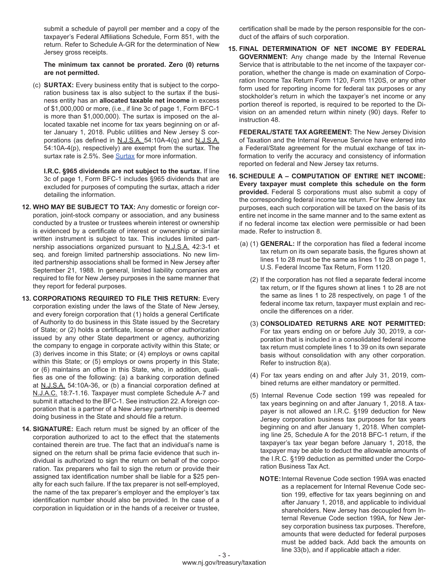submit a schedule of payroll per member and a copy of the taxpayer's Federal Affiliations Schedule, Form 851, with the return. Refer to Schedule A-GR for the determination of New Jersey gross receipts.

#### **The minimum tax cannot be prorated. Zero (0) returns are not permitted.**

(c) **SURTAX:** Every business entity that is subject to the corporation business tax is also subject to the surtax if the business entity has an **allocated taxable net income** in excess of \$1,000,000 or more, (i.e., if line 3c of page 1, Form BFC-1 is more than \$1,000,000). The surtax is imposed on the allocated taxable net income for tax years beginning on or after January 1, 2018. Public utilities and New Jersey S corporations (as defined in N.J.S.A. 54:10A-4(q) and N.J.S.A. 54:10A-4(p), respectively) are exempt from the surtax. The surtax rate is 2.5%. See [Surtax](https://www.nj.gov/treasury/taxation/cbt/surtax.shtml) for more information.

**I.R.C. §965 dividends are not subject to the surtax.** If line 3c of page 1, Form BFC-1 includes §965 dividends that are excluded for purposes of computing the surtax, attach a rider detailing the information.

- **12. WHO MAY BE SUBJECT TO TAX:** Any domestic or foreign corporation, joint-stock company or association, and any business conducted by a trustee or trustees wherein interest or ownership is evidenced by a certificate of interest or ownership or similar written instrument is subject to tax. This includes limited partnership associations organized pursuant to N.J.S.A. 42:3-1 et seq. and foreign limited partnership associations. No new limited partnership associations shall be formed in New Jersey after September 21, 1988. In general, limited liability companies are required to file for New Jersey purposes in the same manner that they report for federal purposes.
- **13. CORPORATIONS REQUIRED TO FILE THIS RETURN:** Every corporation existing under the laws of the State of New Jersey, and every foreign corporation that (1) holds a general Certificate of Authority to do business in this State issued by the Secretary of State; or (2) holds a certificate, license or other authorization issued by any other State department or agency, authorizing the company to engage in corporate activity within this State; or (3) derives income in this State; or (4) employs or owns capital within this State; or (5) employs or owns property in this State; or (6) maintains an office in this State, who, in addition, qualifies as one of the following: (a) a banking corporation defined at N.J.S.A. 54:10A-36, or (b) a financial corporation defined at N.J.A.C. 18:7-1.16. Taxpayer must complete Schedule A-7 and submit it attached to the BFC-1. See instruction 22. A foreign corporation that is a partner of a New Jersey partnership is deemed doing business in the State and should file a return.
- **14. SIGNATURE:** Each return must be signed by an officer of the corporation authorized to act to the effect that the statements contained therein are true. The fact that an individual's name is signed on the return shall be prima facie evidence that such individual is authorized to sign the return on behalf of the corporation. Tax preparers who fail to sign the return or provide their assigned tax identification number shall be liable for a \$25 penalty for each such failure. If the tax preparer is not self-employed, the name of the tax preparer's employer and the employer's tax identification number should also be provided. In the case of a corporation in liquidation or in the hands of a receiver or trustee,

certification shall be made by the person responsible for the conduct of the affairs of such corporation.

**15. FINAL DETERMINATION OF NET INCOME BY FEDERAL GOVERNMENT:** Any change made by the Internal Revenue Service that is attributable to the net income of the taxpayer corporation, whether the change is made on examination of Corporation Income Tax Return Form 1120, Form 1120S, or any other form used for reporting income for federal tax purposes or any stockholder's return in which the taxpayer's net income or any portion thereof is reported, is required to be reported to the Division on an amended return within ninety (90) days. Refer to instruction 48.

**FEDERAL/STATE TAX AGREEMENT:** The New Jersey Division of Taxation and the Internal Revenue Service have entered into a Federal/State agreement for the mutual exchange of tax information to verify the accuracy and consistency of information reported on federal and New Jersey tax returns.

- **16. SCHEDULE A COMPUTATION OF ENTIRE NET INCOME: Every taxpayer must complete this schedule on the form provided.** Federal S corporations must also submit a copy of the corresponding federal income tax return. For New Jersey tax purposes, each such corporation will be taxed on the basis of its entire net income in the same manner and to the same extent as if no federal income tax election were permissible or had been made. Refer to instruction 8.
	- (a) (1) **GENERAL:** If the corporation has filed a federal income tax return on its own separate basis, the figures shown at lines 1 to 28 must be the same as lines 1 to 28 on page 1, U.S. Federal Income Tax Return, Form 1120.
		- (2) If the corporation has not filed a separate federal income tax return, or If the figures shown at lines 1 to 28 are not the same as lines 1 to 28 respectively, on page 1 of the federal income tax return, taxpayer must explain and reconcile the differences on a rider.
		- (3) **CONSOLIDATED RETURNS ARE NOT PERMITTED:** For tax years ending on or before July 30, 2019, a corporation that is included in a consolidated federal income tax return must complete lines 1 to 39 on its own separate basis without consolidation with any other corporation. Refer to instruction 8(a).
		- (4) For tax years ending on and after July 31, 2019, combined returns are either mandatory or permitted.
		- (5) Internal Revenue Code section 199 was repealed for tax years beginning on and after January 1, 2018. A taxpayer is not allowed an I.R.C. §199 deduction for New Jersey corporation business tax purposes for tax years beginning on and after January 1, 2018. When completing line 25, Schedule A for the 2018 BFC-1 return, if the taxpayer's tax year began before January 1, 2018, the taxpayer may be able to deduct the allowable amounts of the I.R.C. §199 deduction as permitted under the Corporation Business Tax Act.
			- **NOTE:**Internal Revenue Code section 199A was enacted as a replacement for Internal Revenue Code section 199, effective for tax years beginning on and after January 1, 2018, and applicable to individual shareholders. New Jersey has decoupled from Internal Revenue Code section 199A, for New Jersey corporation business tax purposes. Therefore, amounts that were deducted for federal purposes must be added back. Add back the amounts on line 33(b), and if applicable attach a rider.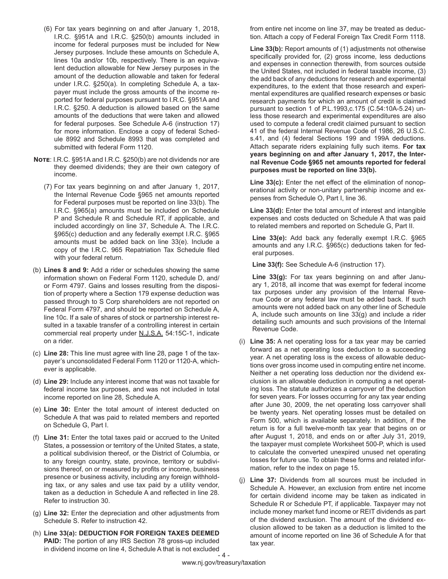- (6) For tax years beginning on and after January 1, 2018, I.R.C. §951A and I.R.C. §250(b) amounts included in income for federal purposes must be included for New Jersey purposes. Include these amounts on Schedule A, lines 10a and/or 10b, respectively. There is an equivalent deduction allowable for New Jersey purposes in the amount of the deduction allowable and taken for federal under I.R.C. §250(a). In completing Schedule A, a taxpayer must include the gross amounts of the income reported for federal purposes pursuant to I.R.C. §951A and I.R.C. §250. A deduction is allowed based on the same amounts of the deductions that were taken and allowed for federal purposes. See Schedule A-6 (instruction 17) for more information. Enclose a copy of federal Schedule 8992 and Schedule 8993 that was completed and submitted with federal Form 1120.
- **Note**: I.R.C. §951A and I.R.C. §250(b) are not dividends nor are they deemed dividends; they are their own category of income.
	- (7) For tax years beginning on and after January 1, 2017, the Internal Revenue Code §965 net amounts reported for Federal purposes must be reported on line 33(b). The I.R.C. §965(a) amounts must be included on Schedule P and Schedule R and Schedule RT, if applicable, and included accordingly on line 37, Schedule A. The I.R.C. §965(c) deduction and any federally exempt I.R.C. §965 amounts must be added back on line 33(e). Include a copy of the I.R.C. 965 Repatriation Tax Schedule filed with your federal return.
- (b) **Lines 8 and 9:** Add a rider or schedules showing the same information shown on Federal Form 1120, schedule D, and/ or Form 4797. Gains and losses resulting from the disposition of property where a Section 179 expense deduction was passed through to S Corp shareholders are not reported on Federal Form 4797, and should be reported on Schedule A, line 10c. If a sale of shares of stock or partnership interest resulted in a taxable transfer of a controlling interest in certain commercial real property under N.J.S.A. 54:15C-1, indicate on a rider.
- (c) **Line 28:** This line must agree with line 28, page 1 of the taxpayer's unconsolidated Federal Form 1120 or 1120-A, whichever is applicable.
- (d) **Line 29:** Include any interest income that was not taxable for federal income tax purposes, and was not included in total income reported on line 28, Schedule A.
- (e) **Line 30:** Enter the total amount of interest deducted on Schedule A that was paid to related members and reported on Schedule G, Part I.
- (f) **Line 31:** Enter the total taxes paid or accrued to the United States, a possession or territory of the United States, a state, a political subdivision thereof, or the District of Columbia, or to any foreign country, state, province, territory or subdivisions thereof, on or measured by profits or income, business presence or business activity, including any foreign withholding tax, or any sales and use tax paid by a utility vendor, taken as a deduction in Schedule A and reflected in line 28. Refer to instruction 30.
- (g) **Line 32:** Enter the depreciation and other adjustments from Schedule S. Refer to instruction 42.
- $-$  4  $-$ (h) **Line 33(a): DEDUCTION FOR FOREIGN TAXES DEEMED PAID:** The portion of any IRS Section 78 gross-up included in dividend income on line 4, Schedule A that is not excluded

from entire net income on line 37, may be treated as deduction. Attach a copy of Federal Foreign Tax Credit Form 1118.

**Line 33(b):** Report amounts of (1) adjustments not otherwise specifically provided for, (2) gross income, less deductions and expenses in connection therewith, from sources outside the United States, not included in federal taxable income, (3) the add back of any deductions for research and experimental expenditures, to the extent that those research and experimental expenditures are qualified research expenses or basic research payments for which an amount of credit is claimed pursuant to section 1 of P.L.1993,c.175 (C.54:10A-5.24) unless those research and experimental expenditures are also used to compute a federal credit claimed pursuant to section 41 of the federal Internal Revenue Code of 1986, 26 U.S.C. s.41, and (4) federal Sections 199 and 199A deductions. Attach separate riders explaining fully such items. **For tax years beginning on and after January 1, 2017, the Internal Revenue Code §965 net amounts reported for federal purposes must be reported on line 33(b).** 

Line 33(c): Enter the net effect of the elimination of nonoperational activity or non-unitary partnership income and expenses from Schedule O, Part I, line 36.

**Line 33(d):** Enter the total amount of interest and intangible expenses and costs deducted on Schedule A that was paid to related members and reported on Schedule G, Part II.

**Line 33(e):** Add back any federally exempt I.R.C. §965 amounts and any I.R.C. §965(c) deductions taken for federal purposes.

**Line 33(f):** See Schedule A-6 (instruction 17).

**Line 33(g):** For tax years beginning on and after January 1, 2018, all income that was exempt for federal income tax purposes under any provision of the Internal Revenue Code or any federal law must be added back. If such amounts were not added back on any other line of Schedule A, include such amounts on line 33(g) and include a rider detailing such amounts and such provisions of the Internal Revenue Code.

- (i) **Line 35:** A net operating loss for a tax year may be carried forward as a net operating loss deduction to a succeeding year. A net operating loss is the excess of allowable deductions over gross income used in computing entire net income. Neither a net operating loss deduction nor the dividend exclusion is an allowable deduction in computing a net operating loss. The statute authorizes a carryover of the deduction for seven years. For losses occurring for any tax year ending after June 30, 2009, the net operating loss carryover shall be twenty years. Net operating losses must be detailed on Form 500, which is available separately. In addition, if the return is for a full twelve-month tax year that begins on or after August 1, 2018, and ends on or after July 31, 2019, the taxpayer must complete Worksheet 500-P, which is used to calculate the converted unexpired unused net operating losses for future use. To obtain these forms and related information, refer to the index on page 15.
- (j) **Line 37:** Dividends from all sources must be included in Schedule A. However, an exclusion from entire net income for certain dividend income may be taken as indicated in Schedule R or Schedule PT, if applicable. Taxpayer may not include money market fund income or REIT dividends as part of the dividend exclusion. The amount of the dividend exclusion allowed to be taken as a deduction is limited to the amount of income reported on line 36 of Schedule A for that tax year.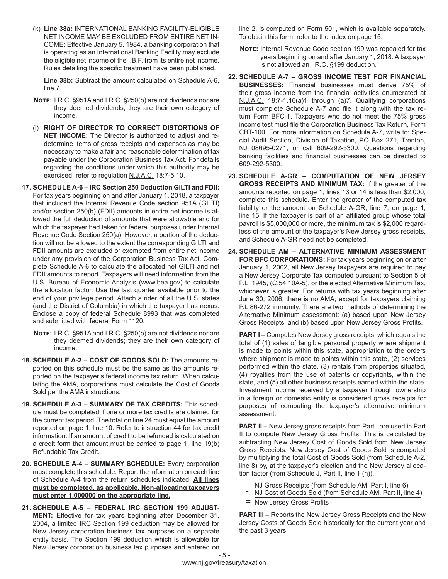(k) **Line 38a:** INTERNATIONAL BANKING FACILITY-ELIGIBLE NET INCOME MAY BE EXCLUDED FROM ENTIRE NET IN-COME: Effective January 5, 1984, a banking corporation that is operating as an International Banking Facility may exclude the eligible net income of the I.B.F. from its entire net income. Rules detailing the specific treatment have been published.

**Line 38b:** Subtract the amount calculated on Schedule A-6, line 7.

- **Note:** I.R.C. §951A and I.R.C. §250(b) are not dividends nor are they deemed dividends; they are their own category of income.
- (l) **RIGHT OF DIRECTOR TO CORRECT DISTORTIONS OF NET INCOME:** The Director is authorized to adjust and redetermine items of gross receipts and expenses as may be necessary to make a fair and reasonable determination of tax payable under the Corporation Business Tax Act. For details regarding the conditions under which this authority may be exercised, refer to regulation N.J.A.C. 18:7-5.10.
- **17. SCHEDULE A-6 IRC Section 250 Deduction GILTI and FDII:**  For tax years beginning on and after January 1, 2018, a taxpayer that included the Internal Revenue Code section 951A (GILTI) and/or section 250(b) (FDII) amounts in entire net income is allowed the full deduction of amounts that were allowable and for which the taxpayer had taken for federal purposes under Internal Revenue Code Section 250(a). However, a portion of the deduction will not be allowed to the extent the corresponding GILTI and FDII amounts are excluded or exempted from entire net income under any provision of the Corporation Business Tax Act. Complete Schedule A-6 to calculate the allocated net GILTI and net FDII amounts to report. Taxpayers will need information from the U.S. Bureau of Economic Analysis (www.bea.gov) to calculate the allocation factor. Use the last quarter available prior to the end of your privilege period. Attach a rider of all the U.S, states (and the District of Columbia) in which the taxpayer has nexus. Enclose a copy of federal Schedule 8993 that was completed and submitted with federal Form 1120.
	- **Note:** I.R.C. §951A and I.R.C. §250(b) are not dividends nor are they deemed dividends; they are their own category of income.
- **18. SCHEDULE A-2 COST OF GOODS SOLD:** The amounts reported on this schedule must be the same as the amounts reported on the taxpayer's federal income tax return. When calculating the AMA, corporations must calculate the Cost of Goods Sold per the AMA instructions.
- **19. SCHEDULE A-3 SUMMARY OF TAX CREDITS:** This schedule must be completed if one or more tax credits are claimed for the current tax period. The total on line 24 must equal the amount reported on page 1, line 10. Refer to instruction 44 for tax credit information. If an amount of credit to be refunded is calculated on a credit form that amount must be carried to page 1, line 19(b) Refundable Tax Credit.
- **20. SCHEDULE A-4 SUMMARY SCHEDULE:** Every corporation must complete this schedule. Report the information on each line of Schedule A-4 from the return schedules indicated. **All lines must be completed, as applicable. Non-allocating taxpayers must enter 1.000000 on the appropriate line.**
- **21. SCHEDULE A-5 FEDERAL IRC SECTION 199 ADJUST-MENT:** Effective for tax years beginning after December 31, 2004, a limited IRC Section 199 deduction may be allowed for New Jersey corporation business tax purposes on a separate entity basis. The Section 199 deduction which is allowable for New Jersey corporation business tax purposes and entered on

line 2, is computed on Form 501, which is available separately. To obtain this form, refer to the index on page 15.

- **Note:** Internal Revenue Code section 199 was repealed for tax years beginning on and after January 1, 2018. A taxpayer is not allowed an I.R.C. §199 deduction.
- **22. SCHEDULE A-7 GROSS INCOME TEST FOR FINANCIAL BUSINESSES:** Financial businesses must derive 75% of their gross income from the financial activities enumerated at N.J.A.C. 18:7-1.16(a)1 through (a)7. Qualifying corporations must complete Schedule A-7 and file it along with the tax return Form BFC-1. Taxpayers who do not meet the 75% gross income test must file the Corporation Business Tax Return, Form CBT-100. For more information on Schedule A-7, write to: Special Audit Section, Division of Taxation, PO Box 271, Trenton, NJ 08695-0271, or call 609-292-5300. Questions regarding banking facilities and financial businesses can be directed to 609-292-5300.
- **23. SCHEDULE A-GR COMPUTATION OF NEW JERSEY GROSS RECEIPTS AND MINIMUM TAX:** If the greater of the amounts reported on page 1, lines 13 or 14 is less than \$2,000, complete this schedule. Enter the greater of the computed tax liability or the amount on Schedule A-GR, line 7, on page 1, line 15. If the taxpayer is part of an affiliated group whose total payroll is \$5,000,000 or more, the minimum tax is \$2,000 regardless of the amount of the taxpayer's New Jersey gross receipts, and Schedule A-GR need not be completed.
- **24. SCHEDULE AM ALTERNATIVE MINIMUM ASSESSMENT FOR BFC CORPORATIONS:** For tax years beginning on or after January 1, 2002, all New Jersey taxpayers are required to pay a New Jersey Corporate Tax computed pursuant to Section 5 of P.L. 1945, (C.54:10A-5), or the elected Alternative Minimum Tax, whichever is greater. For returns with tax years beginning after June 30, 2006, there is no AMA, except for taxpayers claiming P.L.86-272 immunity. There are two methods of determining the Alternative Minimum assessment: (a) based upon New Jersey Gross Receipts, and (b) based upon New Jersey Gross Profits.

**PART I –** Computes New Jersey gross receipts, which equals the total of (1) sales of tangible personal property where shipment is made to points within this state, appropriation to the orders where shipment is made to points within this state, (2) services performed within the state, (3) rentals from properties situated, (4) royalties from the use of patents or copyrights, within the state, and (5) all other business receipts earned within the state. Investment income received by a taxpayer through ownership in a foreign or domestic entity is considered gross receipts for purposes of computing the taxpayer's alternative minimum assessment.

**PART II –** New Jersey gross receipts from Part I are used in Part II to compute New Jersey Gross Profits. This is calculated by subtracting New Jersey Cost of Goods Sold from New Jersey Gross Receipts. New Jersey Cost of Goods Sold is computed by multiplying the total Cost of Goods Sold (from Schedule A-2, line 8) by, at the taxpayer's election and the New Jersey allocation factor (from Schedule J, Part II, line 1 (h)).

- 
- NJ Gross Receipts (from Schedule AM, Part I, line 6)<br>NJ Cost of Goods Sold (from Schedule AM, Part II, line 4)
- = New Jersey Gross Profits

**PART III –** Reports the New Jersey Gross Receipts and the New Jersey Costs of Goods Sold historically for the current year and the past 3 years.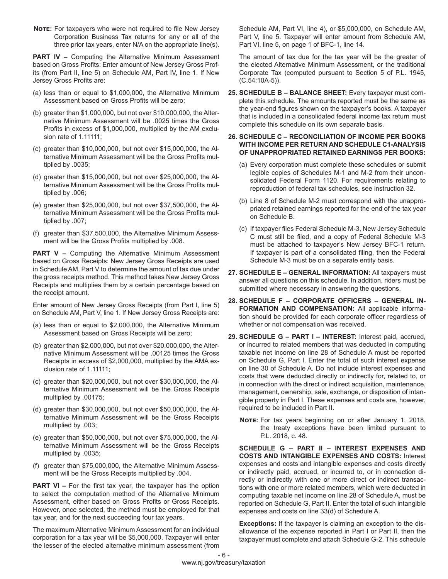**NOTE:** For taxpayers who were not required to file New Jersey Corporation Business Tax returns for any or all of the three prior tax years, enter N/A on the appropriate line(s).

**PART IV - Computing the Alternative Minimum Assessment** based on Gross Profits: Enter amount of New Jersey Gross Profits (from Part II, line 5) on Schedule AM, Part IV, line 1. If New Jersey Gross Profits are:

- (a) less than or equal to \$1,000,000, the Alternative Minimum Assessment based on Gross Profits will be zero;
- (b) greater than \$1,000,000, but not over \$10,000,000, the Alternative Minimum Assessment will be .0025 times the Gross Profits in excess of \$1,000,000, multiplied by the AM exclusion rate of 1.11111;
- (c) greater than \$10,000,000, but not over \$15,000,000, the Alternative Minimum Assessment will be the Gross Profits multiplied by .0035;
- (d) greater than \$15,000,000, but not over \$25,000,000, the Alternative Minimum Assessment will be the Gross Profits multiplied by .006;
- (e) greater than \$25,000,000, but not over \$37,500,000, the Alternative Minimum Assessment will be the Gross Profits multiplied by .007;
- (f) greater than \$37,500,000, the Alternative Minimum Assessment will be the Gross Profits multiplied by .008.

**PART V –** Computing the Alternative Minimum Assessment based on Gross Receipts: New Jersey Gross Receipts are used in Schedule AM, Part V to determine the amount of tax due under the gross receipts method. This method takes New Jersey Gross Receipts and multiplies them by a certain percentage based on the receipt amount.

Enter amount of New Jersey Gross Receipts (from Part I, line 5) on Schedule AM, Part V, line 1. If New Jersey Gross Receipts are:

- (a) less than or equal to \$2,000,000, the Alternative Minimum Assessment based on Gross Receipts will be zero;
- (b) greater than \$2,000,000, but not over \$20,000,000, the Alternative Minimum Assessment will be .00125 times the Gross Receipts in excess of \$2,000,000, multiplied by the AMA exclusion rate of 1.11111;
- (c) greater than \$20,000,000, but not over \$30,000,000, the Alternative Minimum Assessment will be the Gross Receipts multiplied by .00175;
- (d) greater than \$30,000,000, but not over \$50,000,000, the Alternative Minimum Assessment will be the Gross Receipts multiplied by .003;
- (e) greater than \$50,000,000, but not over \$75,000,000, the Alternative Minimum Assessment will be the Gross Receipts multiplied by .0035;
- (f) greater than \$75,000,000, the Alternative Minimum Assessment will be the Gross Receipts multiplied by .004.

**PART VI –** For the first tax year, the taxpayer has the option to select the computation method of the Alternative Minimum Assessment, either based on Gross Profits or Gross Receipts. However, once selected, the method must be employed for that tax year, and for the next succeeding four tax years.

The maximum Alternative Minimum Assessment for an individual corporation for a tax year will be \$5,000,000. Taxpayer will enter the lesser of the elected alternative minimum assessment (from

Schedule AM, Part VI, line 4), or \$5,000,000, on Schedule AM, Part V, line 5. Taxpayer will enter amount from Schedule AM, Part VI, line 5, on page 1 of BFC-1, line 14.

The amount of tax due for the tax year will be the greater of the elected Alternative Minimum Assessment, or the traditional Corporate Tax (computed pursuant to Section 5 of P.L. 1945, (C.54:10A-5)).

**25. SCHEDULE B – BALANCE SHEET:** Every taxpayer must complete this schedule. The amounts reported must be the same as the year-end figures shown on the taxpayer's books. A taxpayer that is included in a consolidated federal income tax return must complete this schedule on its own separate basis.

#### **26. SCHEDULE C – RECONCILIATION OF INCOME PER BOOKS WITH INCOME PER RETURN AND SCHEDULE C1-ANALYSIS OF UNAPPROPRIATED RETAINED EARNINGS PER BOOKS:**

- (a) Every corporation must complete these schedules or submit legible copies of Schedules M-1 and M-2 from their unconsolidated Federal Form 1120. For requirements relating to reproduction of federal tax schedules, see instruction 32.
- (b) Line 8 of Schedule M-2 must correspond with the unappropriated retained earnings reported for the end of the tax year on Schedule B.
- (c) If taxpayer files Federal Schedule M-3, New Jersey Schedule C must still be filed, and a copy of Federal Schedule M-3 must be attached to taxpayer's New Jersey BFC-1 return. If taxpayer is part of a consolidated filing, then the Federal Schedule M-3 must be on a separate entity basis.
- **27. SCHEDULE E GENERAL INFORMATION:** All taxpayers must answer all questions on this schedule. In addition, riders must be submitted where necessary in answering the questions.
- **28. SCHEDULE F CORPORATE OFFICERS GENERAL IN-FORMATION AND COMPENSATION:** All applicable information should be provided for each corporate officer regardless of whether or not compensation was received.
- **29. SCHEDULE G PART I INTEREST:** Interest paid, accrued, or incurred to related members that was deducted in computing taxable net income on line 28 of Schedule A must be reported on Schedule G, Part I. Enter the total of such interest expense on line 30 of Schedule A. Do not include interest expenses and costs that were deducted directly or indirectly for, related to, or in connection with the direct or indirect acquisition, maintenance, management, ownership, sale, exchange, or disposition of intangible property in Part I. These expenses and costs are, however, required to be included in Part II.
	- **Note:** For tax years beginning on or after January 1, 2018, the treaty exceptions have been limited pursuant to P.L. 2018, c. 48.

**SCHEDULE G – PART II – INTEREST EXPENSES AND COSTS AND INTANGIBLE EXPENSES AND COSTS:** Interest expenses and costs and intangible expenses and costs directly or indirectly paid, accrued, or incurred to, or in connection directly or indirectly with one or more direct or indirect transactions with one or more related members, which were deducted in computing taxable net income on line 28 of Schedule A, must be reported on Schedule G, Part II. Enter the total of such intangible expenses and costs on line 33(d) of Schedule A.

**Exceptions:** If the taxpayer is claiming an exception to the disallowance of the expense reported in Part I or Part II, then the taxpayer must complete and attach Schedule G-2. This schedule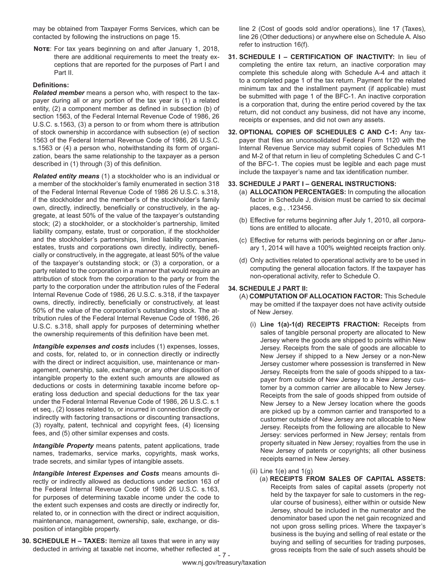may be obtained from Taxpayer Forms Services, which can be contacted by following the instructions on page 15.

**Note**: For tax years beginning on and after January 1, 2018, there are additional requirements to meet the treaty exceptions that are reported for the purposes of Part I and Part II.

#### **Definitions:**

*Related member* means a person who, with respect to the taxpayer during all or any portion of the tax year is (1) a related entity, (2) a component member as defined in subsection (b) of section 1563, of the Federal Internal Revenue Code of 1986, 26 U.S.C. s.1563, (3) a person to or from whom there is attribution of stock ownership in accordance with subsection (e) of section 1563 of the Federal Internal Revenue Code of 1986, 26 U.S.C. s.1563 or (4) a person who, notwithstanding its form of organization, bears the same relationship to the taxpayer as a person described in (1) through (3) of this definition.

*Related entity means* (1) a stockholder who is an individual or a member of the stockholder's family enumerated in section 318 of the Federal Internal Revenue Code of 1986 26 U.S.C. s.318, if the stockholder and the member's of the stockholder's family own, directly, indirectly, beneficially or constructively, in the aggregate, at least 50% of the value of the taxpayer's outstanding stock; (2) a stockholder, or a stockholder's partnership, limited liability company, estate, trust or corporation, if the stockholder and the stockholder's partnerships, limited liability companies, estates, trusts and corporations own directly, indirectly, beneficially or constructively, in the aggregate, at least 50% of the value of the taxpayer's outstanding stock; or (3) a corporation, or a party related to the corporation in a manner that would require an attribution of stock from the corporation to the party or from the party to the corporation under the attribution rules of the Federal Internal Revenue Code of 1986, 26 U.S.C. s.318, if the taxpayer owns, directly, indirectly, beneficially or constructively, at least 50% of the value of the corporation's outstanding stock. The attribution rules of the Federal Internal Revenue Code of 1986, 26 U.S.C. s.318, shall apply for purposes of determining whether the ownership requirements of this definition have been met.

*Intangible expenses and costs* includes (1) expenses, losses, and costs, for, related to, or in connection directly or indirectly with the direct or indirect acquisition, use, maintenance or management, ownership, sale, exchange, or any other disposition of intangible property to the extent such amounts are allowed as deductions or costs in determining taxable income before operating loss deduction and special deductions for the tax year under the Federal Internal Revenue Code of 1986, 26 U.S.C. s.1 et seq., (2) losses related to, or incurred in connection directly or indirectly with factoring transactions or discounting transactions, (3) royalty, patent, technical and copyright fees, (4) licensing fees, and (5) other similar expenses and costs.

*Intangible Property* means patents, patent applications, trade names, trademarks, service marks, copyrights, mask works, trade secrets, and similar types of intangible assets.

*Intangible Interest Expenses and Costs* means amounts directly or indirectly allowed as deductions under section 163 of the Federal Internal Revenue Code of 1986 26 U.S.C. s.163, for purposes of determining taxable income under the code to the extent such expenses and costs are directly or indirectly for, related to, or in connection with the direct or indirect acquisition, maintenance, management, ownership, sale, exchange, or disposition of intangible property.

**30. SCHEDULE H – TAXES:** Itemize all taxes that were in any way deducted in arriving at taxable net income, whether reflected at line 2 (Cost of goods sold and/or operations), line 17 (Taxes), line 26 (Other deductions) or anywhere else on Schedule A. Also refer to instruction 16(f).

- **31. SCHEDULE I CERTIFICATION OF INACTIVITY:** In lieu of completing the entire tax return, an inactive corporation may complete this schedule along with Schedule A-4 and attach it to a completed page 1 of the tax return. Payment for the related minimum tax and the installment payment (if applicable) must be submitted with page 1 of the BFC-1. An inactive corporation is a corporation that, during the entire period covered by the tax return, did not conduct any business, did not have any income, receipts or expenses, and did not own any assets.
- **32. OPTIONAL COPIES OF SCHEDULES C AND C-1:** Any taxpayer that files an unconsolidated Federal Form 1120 with the Internal Revenue Service may submit copies of Schedules M1 and M-2 of that return in lieu of completing Schedules C and C-1 of the BFC-1. The copies must be legible and each page must include the taxpayer's name and tax identification number.

#### **33. SCHEDULE J PART I – GENERAL INSTRUCTIONS:**

- (a) **ALLOCATION PERCENTAGES:** In computing the allocation factor in Schedule J, division must be carried to six decimal places, e.g., .123456.
- (b) Effective for returns beginning after July 1, 2010, all corporations are entitled to allocate.
- (c) Effective for returns with periods beginning on or after January 1, 2014 will have a 100% weighted receipts fraction only.
- (d) Only activities related to operational activity are to be used in computing the general allocation factors. If the taxpayer has non-operational activity, refer to Schedule O.

#### **34. SCHEDULE J PART II:**

- (A) **COMPUTATION OF ALLOCATION FACTOR:** This Schedule may be omitted if the taxpayer does not have activity outside of New Jersey.
	- (i) **Line 1(a)-1(d) RECEIPTS FRACTION:** Receipts from sales of tangible personal property are allocated to New Jersey where the goods are shipped to points within New Jersey. Receipts from the sale of goods are allocable to New Jersey if shipped to a New Jersey or a non-New Jersey customer where possession is transferred in New Jersey. Receipts from the sale of goods shipped to a taxpayer from outside of New Jersey to a New Jersey customer by a common carrier are allocable to New Jersey. Receipts from the sale of goods shipped from outside of New Jersey to a New Jersey location where the goods are picked up by a common carrier and transported to a customer outside of New Jersey are not allocable to New Jersey. Receipts from the following are allocable to New Jersey: services performed in New Jersey; rentals from property situated in New Jersey; royalties from the use in New Jersey of patents or copyrights; all other business receipts earned in New Jersey.
	- (ii) Line  $1(e)$  and  $1(g)$ 
		- (a) **RECEIPTS FROM SALES OF CAPITAL ASSETS:**  Receipts from sales of capital assets (property not held by the taxpayer for sale to customers in the regular course of business), either within or outside New Jersey, should be included in the numerator and the denominator based upon the net gain recognized and not upon gross selling prices. Where the taxpayer's business is the buying and selling of real estate or the buying and selling of securities for trading purposes, gross receipts from the sale of such assets should be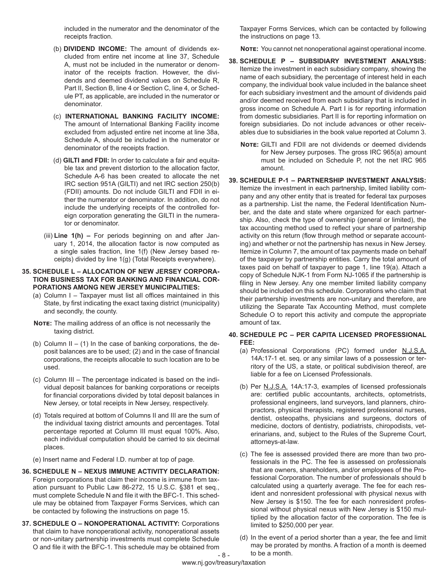included in the numerator and the denominator of the receipts fraction.

- (b) **DIVIDEND INCOME:** The amount of dividends excluded from entire net income at line 37, Schedule A, must not be included in the numerator or denominator of the receipts fraction. However, the dividends and deemed dividend values on Schedule R, Part II, Section B, line 4 or Section C, line 4, or Schedule PT, as applicable, are included in the numerator or denominator.
- (c) **INTERNATIONAL BANKING FACILITY INCOME:** The amount of International Banking Facility income excluded from adjusted entire net income at line 38a, Schedule A, should be included in the numerator or denominator of the receipts fraction.
- (d) **GILTI and FDII:** In order to calculate a fair and equitable tax and prevent distortion to the allocation factor, Schedule A-6 has been created to allocate the net IRC section 951A (GILTI) and net IRC section 250(b) (FDII) amounts. Do not include GILTI and FDII in either the numerator or denominator. In addition, do not include the underlying receipts of the controlled foreign corporation generating the GILTI in the numerator or denominator.
- (iii) **Line 1(h)** For periods beginning on and after January 1, 2014, the allocation factor is now computed as a single sales fraction, line 1(f) (New Jersey based receipts) divided by line 1(g) (Total Receipts everywhere).

#### **35. SCHEDULE L – ALLOCATION OF NEW JERSEY CORPORA-TION BUSINESS TAX FOR BANKING AND FINANCIAL COR-PORATIONS AMONG NEW JERSEY MUNICIPALITIES:**

- (a) Column I Taxpayer must list all offices maintained in this State, by first indicating the exact taxing district (municipality) and secondly, the county.
- **NOTE:** The mailing address of an office is not necessarily the taxing district.
- (b) Column  $II (1)$  In the case of banking corporations, the deposit balances are to be used; (2) and in the case of financial corporations, the receipts allocable to such location are to be used.
- (c) Column III The percentage indicated is based on the individual deposit balances for banking corporations or receipts for financial corporations divided by total deposit balances in New Jersey, or total receipts in New Jersey, respectively.
- (d) Totals required at bottom of Columns II and III are the sum of the individual taxing district amounts and percentages. Total percentage reported at Column III must equal 100%. Also, each individual computation should be carried to six decimal places.

(e) Insert name and Federal I.D. number at top of page.

- **36. SCHEDULE N NEXUS IMMUNE ACTIVITY DECLARATION:**  Foreign corporations that claim their income is immune from taxation pursuant to Public Law 86-272, 15 U.S.C. §381 et seq., must complete Schedule N and file it with the BFC-1. This schedule may be obtained from Taxpayer Forms Services, which can be contacted by following the instructions on page 15.
- 8 **37. SCHEDULE O – NONOPERATIONAL ACTIVITY:** Corporations that claim to have nonoperational activity, nonoperational assets or non-unitary partnership investments must complete Schedule O and file it with the BFC-1. This schedule may be obtained from

Taxpayer Forms Services, which can be contacted by following the instructions on page 13.

**Note:** You cannot net nonoperational against operational income.

- **38. SCHEDULE P SUBSIDIARY INVESTMENT ANALYSIS:**  Itemize the investment in each subsidiary company, showing the name of each subsidiary, the percentage of interest held in each company, the individual book value included in the balance sheet for each subsidiary investment and the amount of dividends paid and/or deemed received from each subsidiary that is included in gross income on Schedule A. Part I is for reporting information from domestic subsidiaries. Part II is for reporting information on foreign subsidiaries. Do not include advances or other receivables due to subsidiaries in the book value reported at Column 3.
	- **Note:** GILTI and FDII are not dividends or deemed dividends for New Jersey purposes. The gross IRC 965(a) amount must be included on Schedule P, not the net IRC 965 amount.
- **39. SCHEDULE P-1 PARTNERSHIP INVESTMENT ANALYSIS:**  Itemize the investment in each partnership, limited liability company and any other entity that is treated for federal tax purposes as a partnership. List the name, the Federal Identification Number, and the date and state where organized for each partnership. Also, check the type of ownership (general or limited), the tax accounting method used to reflect your share of partnership activity on this return (flow through method or separate accounting) and whether or not the partnership has nexus in New Jersey. Itemize in Column 7, the amount of tax payments made on behalf of the taxpayer by partnership entities. Carry the total amount of taxes paid on behalf of taxpayer to page 1, line 19(a). Attach a copy of Schedule NJK-1 from Form NJ-1065 if the partnership is filing in New Jersey. Any one member limited liability company should be included on this schedule. Corporations who claim that their partnership investments are non-unitary and therefore, are utilizing the Separate Tax Accounting Method, must complete Schedule O to report this activity and compute the appropriate amount of tax.

#### **40. SCHEDULE PC – PER CAPITA LICENSED PROFESSIONAL FEE:**

- (a) Professional Corporations (PC) formed under N.J.S.A. 14A:17-1 et. seq. or any similar laws of a possession or territory of the US, a state, or political subdivision thereof, are liable for a fee on Licensed Professionals.
- (b) Per N.J.S.A. 14A:17-3, examples of licensed professionals are: certified public accountants, architects, optometrists, professional engineers, land surveyors, land planners, chiropractors, physical therapists, registered professional nurses, dentist, osteopaths, physicians and surgeons, doctors of medicine, doctors of dentistry, podiatrists, chiropodists, veterinarians, and, subject to the Rules of the Supreme Court, attorneys-at-law.
- (c) The fee is assessed provided there are more than two professionals in the PC. The fee is assessed on professionals that are owners, shareholders, and/or employees of the Professional Corporation. The number of professionals should b calculated using a quarterly average. The fee for each resident and nonresident professional with physical nexus with New Jersey is \$150. The fee for each nonresident professional without physical nexus with New Jersey is \$150 multiplied by the allocation factor of the corporation. The fee is limited to \$250,000 per year.
- (d) In the event of a period shorter than a year, the fee and limit may be prorated by months. A fraction of a month is deemed to be a month.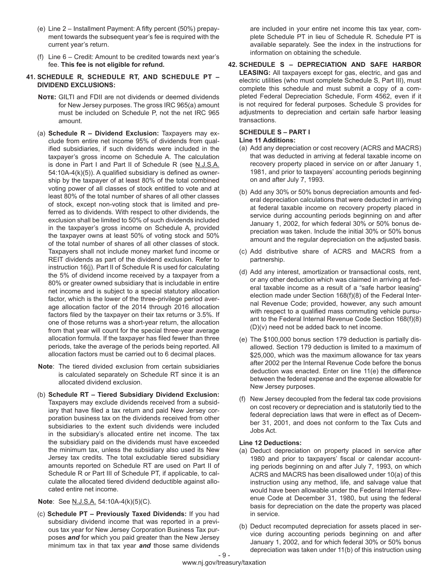- (e) Line 2 Installment Payment: A fifty percent (50%) prepayment towards the subsequent year's fee is required with the current year's return.
- (f) Line 6 Credit: Amount to be credited towards next year's fee. **This fee is not eligible for refund.**

#### **41. SCHEDULE R, SCHEDULE RT, AND SCHEDULE PT – DIVIDEND EXCLUSIONS:**

- **Note:** GILTI and FDII are not dividends or deemed dividends for New Jersey purposes. The gross IRC 965(a) amount must be included on Schedule P, not the net IRC 965 amount.
- (a) **Schedule R Dividend Exclusion:** Taxpayers may exclude from entire net income 95% of dividends from qualified subsidiaries, if such dividends were included in the taxpayer's gross income on Schedule A. The calculation is done in Part I and Part II of Schedule R (see N.J.S.A. 54:10A-4(k)(5)). A qualified subsidiary is defined as ownership by the taxpayer of at least 80% of the total combined voting power of all classes of stock entitled to vote and at least 80% of the total number of shares of all other classes of stock, except non-voting stock that is limited and preferred as to dividends. With respect to other dividends, the exclusion shall be limited to 50% of such dividends included in the taxpayer's gross income on Schedule A, provided the taxpayer owns at least 50% of voting stock and 50% of the total number of shares of all other classes of stock. Taxpayers shall not include money market fund income or REIT dividends as part of the dividend exclusion. Refer to instruction 16(j). Part II of Schedule R is used for calculating the 5% of dividend income received by a taxpayer from a 80% or greater owned subsidiary that is includable in entire net income and is subject to a special statutory allocation factor, which is the lower of the three-privilege period average allocation factor of the 2014 through 2016 allocation factors filed by the taxpayer on their tax returns or 3.5%. If one of those returns was a short-year return, the allocation from that year will count for the special three-year average allocation formula. If the taxpayer has filed fewer than three periods, take the average of the periods being reported. All allocation factors must be carried out to 6 decimal places.
- **Note**: The tiered divided exclusion from certain subsidiaries is calculated separately on Schedule RT since it is an allocated dividend exclusion.
- (b) **Schedule RT Tiered Subsidiary Dividend Exclusion:** Taxpayers may exclude dividends received from a subsidiary that have filed a tax return and paid New Jersey corporation business tax on the dividends received from other subsidiaries to the extent such dividends were included in the subsidiary's allocated entire net income. The tax the subsidiary paid on the dividends must have exceeded the minimum tax, unless the subsidiary also used its New Jersey tax credits. The total excludable tiered subsidiary amounts reported on Schedule RT are used on Part II of Schedule R or Part III of Schedule PT, if applicable, to calculate the allocated tiered dividend deductible against allocated entire net income.

#### **Note**: See N.J.S.A. 54:10A-4(k)(5)(C).

(c) **Schedule PT – Previously Taxed Dividends:** If you had subsidiary dividend income that was reported in a previous tax year for New Jersey Corporation Business Tax purposes *and* for which you paid greater than the New Jersey minimum tax in that tax year *and* those same dividends

are included in your entire net income this tax year, complete Schedule PT in lieu of Schedule R. Schedule PT is available separately. See the index in the instructions for information on obtaining the schedule.

**42. SCHEDULE S – DEPRECIATION AND SAFE HARBOR LEASING:** All taxpayers except for gas, electric, and gas and electric utilities (who must complete Schedule S, Part III), must complete this schedule and must submit a copy of a completed Federal Depreciation Schedule, Form 4562, even if it is not required for federal purposes. Schedule S provides for adjustments to depreciation and certain safe harbor leasing transactions.

#### **SCHEDULE S – PART I**

#### **Line 11 Additions:**

- (a) Add any depreciation or cost recovery (ACRS and MACRS) that was deducted in arriving at federal taxable income on recovery property placed in service on or after January 1, 1981, and prior to taxpayers' accounting periods beginning on and after July 7, 1993.
- (b) Add any 30% or 50% bonus depreciation amounts and federal depreciation calculations that were deducted in arriving at federal taxable income on recovery property placed in service during accounting periods beginning on and after January 1, 2002, for which federal 30% or 50% bonus depreciation was taken. Include the initial 30% or 50% bonus amount and the regular depreciation on the adjusted basis.
- (c) Add distributive share of ACRS and MACRS from a partnership.
- (d) Add any interest, amortization or transactional costs, rent, or any other deduction which was claimed in arriving at federal taxable income as a result of a "safe harbor leasing" election made under Section 168(f)(8) of the Federal Internal Revenue Code; provided, however, any such amount with respect to a qualified mass commuting vehicle pursuant to the Federal Internal Revenue Code Section 168(f)(8) (D)(v) need not be added back to net income.
- (e) The \$100,000 bonus section 179 deduction is partially disallowed. Section 179 deduction is limited to a maximum of \$25,000, which was the maximum allowance for tax years after 2002 per the Internal Revenue Code before the bonus deduction was enacted. Enter on line 11(e) the difference between the federal expense and the expense allowable for New Jersey purposes.
- (f) New Jersey decoupled from the federal tax code provisions on cost recovery or depreciation and is statutorily tied to the federal depreciation laws that were in effect as of December 31, 2001, and does not conform to the Tax Cuts and Jobs Act.

#### **Line 12 Deductions:**

- (a) Deduct depreciation on property placed in service after 1980 and prior to taxpayers' fiscal or calendar accounting periods beginning on and after July 7, 1993, on which ACRS and MACRS has been disallowed under 10(a) of this instruction using any method, life, and salvage value that would have been allowable under the Federal Internal Revenue Code at December 31, 1980, but using the federal basis for depreciation on the date the property was placed in service.
- (b) Deduct recomputed depreciation for assets placed in service during accounting periods beginning on and after January 1, 2002, and for which federal 30% or 50% bonus depreciation was taken under 11(b) of this instruction using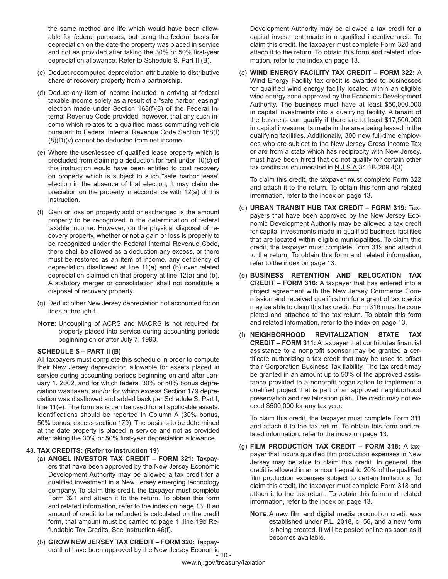the same method and life which would have been allowable for federal purposes, but using the federal basis for depreciation on the date the property was placed in service and not as provided after taking the 30% or 50% first-year depreciation allowance. Refer to Schedule S, Part II (B).

- (c) Deduct recomputed depreciation attributable to distributive share of recovery property from a partnership.
- (d) Deduct any item of income included in arriving at federal taxable income solely as a result of a "safe harbor leasing" election made under Section 168(f)(8) of the Federal Internal Revenue Code provided, however, that any such income which relates to a qualified mass commuting vehicle pursuant to Federal Internal Revenue Code Section 168(f) (8)(D)(v) cannot be deducted from net income.
- (e) Where the user/lessee of qualified lease property which is precluded from claiming a deduction for rent under 10(c) of this instruction would have been entitled to cost recovery on property which is subject to such "safe harbor lease" election in the absence of that election, it may claim depreciation on the property in accordance with 12(a) of this instruction.
- (f) Gain or loss on property sold or exchanged is the amount properly to be recognized in the determination of federal taxable income. However, on the physical disposal of recovery property, whether or not a gain or loss is properly to be recognized under the Federal Internal Revenue Code, there shall be allowed as a deduction any excess, or there must be restored as an item of income, any deficiency of depreciation disallowed at line 11(a) and (b) over related depreciation claimed on that property at line 12(a) and (b). A statutory merger or consolidation shall not constitute a disposal of recovery property.
- (g) Deduct other New Jersey depreciation not accounted for on lines a through f.
- **Note:** Uncoupling of ACRS and MACRS is not required for property placed into service during accounting periods beginning on or after July 7, 1993.

#### **SCHEDULE S – PART II (B)**

All taxpayers must complete this schedule in order to compute their New Jersey depreciation allowable for assets placed in service during accounting periods beginning on and after January 1, 2002, and for which federal 30% or 50% bonus depreciation was taken, and/or for which excess Section 179 depreciation was disallowed and added back per Schedule S, Part I, line 11(e). The form as is can be used for all applicable assets. Identifications should be reported in Column A (30% bonus, 50% bonus, excess section 179). The basis is to be determined at the date property is placed in service and not as provided after taking the 30% or 50% first-year depreciation allowance.

#### **43. TAX CREDITS: (Refer to instruction 19)**

- (a) **ANGEL INVESTOR TAX CREDIT FORM 321:** Taxpayers that have been approved by the New Jersey Economic Development Authority may be allowed a tax credit for a qualified investment in a New Jersey emerging technology company. To claim this credit, the taxpayer must complete Form 321 and attach it to the return. To obtain this form and related information, refer to the index on page 13. If an amount of credit to be refunded is calculated on the credit form, that amount must be carried to page 1, line 19b Refundable Tax Credits. See instruction 46(f).
- ers that have been approved by the New Jersey Economic<br>- 10 -(b) **GROW NEW JERSEY TAX CREDIT – FORM 320:** Taxpay-

Development Authority may be allowed a tax credit for a capital investment made in a qualified incentive area. To claim this credit, the taxpayer must complete Form 320 and attach it to the return. To obtain this form and related information, refer to the index on page 13.

(c) **WIND ENERGY FACILITY TAX CREDIT – FORM 322:** A Wind Energy Facility tax credit is awarded to businesses for qualified wind energy facility located within an eligible wind energy zone approved by the Economic Development Authority. The business must have at least \$50,000,000 in capital investments into a qualifying facility. A tenant of the business can qualify if there are at least \$17,500,000 in capital investments made in the area being leased in the qualifying facilities. Additionally, 300 new full-time employees who are subject to the New Jersey Gross Income Tax or are from a state which has reciprocity with New Jersey, must have been hired that do not qualify for certain other tax credits as enumerated in N.J.S.A.34:1B-209.4(3).

To claim this credit, the taxpayer must complete Form 322 and attach it to the return. To obtain this form and related information, refer to the index on page 13.

- (d) **URBAN TRANSIT HUB TAX CREDIT FORM 319:** Taxpayers that have been approved by the New Jersey Economic Development Authority may be allowed a tax credit for capital investments made in qualified business facilities that are located within eligible municipalities. To claim this credit, the taxpayer must complete Form 319 and attach it to the return. To obtain this form and related information, refer to the index on page 13.
- (e) **BUSINESS RETENTION AND RELOCATION TAX CREDIT – FORM 316:** A taxpayer that has entered into a project agreement with the New Jersey Commerce Commission and received qualification for a grant of tax credits may be able to claim this tax credit. Form 316 must be completed and attached to the tax return. To obtain this form and related information, refer to the index on page 13.
- (f) **NEIGHBORHOOD REVITALIZATION STATE TAX CREDIT – FORM 311:** A taxpayer that contributes financial assistance to a nonprofit sponsor may be granted a certificate authorizing a tax credit that may be used to offset their Corporation Business Tax liability. The tax credit may be granted in an amount up to 50% of the approved assistance provided to a nonprofit organization to implement a qualified project that is part of an approved neighborhood preservation and revitalization plan. The credit may not exceed \$500,000 for any tax year.

To claim this credit, the taxpayer must complete Form 311 and attach it to the tax return. To obtain this form and related information, refer to the index on page 13.

- (g) **FILM PRODUCTION TAX CREDIT FORM 318:** A taxpayer that incurs qualified film production expenses in New Jersey may be able to claim this credit. In general, the credit is allowed in an amount equal to 20% of the qualified film production expenses subject to certain limitations. To claim this credit, the taxpayer must complete Form 318 and attach it to the tax return. To obtain this form and related information, refer to the index on page 13.
	- **NOTE:** A new film and digital media production credit was established under P.L. 2018, c. 56, and a new form is being created. It will be posted online as soon as it becomes available.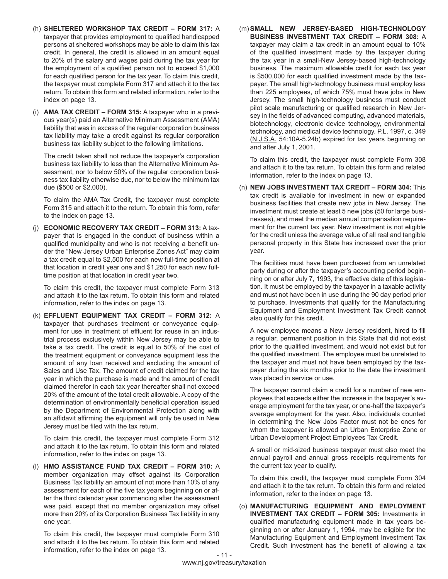- (h) **SHELTERED WORKSHOP TAX CREDIT FORM 317:** A taxpayer that provides employment to qualified handicapped persons at sheltered workshops may be able to claim this tax credit. In general, the credit is allowed in an amount equal to 20% of the salary and wages paid during the tax year for the employment of a qualified person not to exceed \$1,000 for each qualified person for the tax year. To claim this credit, the taxpayer must complete Form 317 and attach it to the tax return. To obtain this form and related information, refer to the index on page 13.
- (i) **AMA TAX CREDIT FORM 315:** A taxpayer who in a previous year(s) paid an Alternative Minimum Assessment (AMA) liability that was in excess of the regular corporation business tax liability may take a credit against its regular corporation business tax liability subject to the following limitations.

The credit taken shall not reduce the taxpayer's corporation business tax liability to less than the Alternative Minimum Assessment, nor to below 50% of the regular corporation business tax liability otherwise due, nor to below the minimum tax due (\$500 or \$2,000).

To claim the AMA Tax Credit, the taxpayer must complete Form 315 and attach it to the return. To obtain this form, refer to the index on page 13.

(j) **ECONOMIC RECOVERY TAX CREDIT – FORM 313:** A taxpayer that is engaged in the conduct of business within a qualified municipality and who is not receiving a benefit under the "New Jersey Urban Enterprise Zones Act" may claim a tax credit equal to \$2,500 for each new full-time position at that location in credit year one and \$1,250 for each new fulltime position at that location in credit year two.

To claim this credit, the taxpayer must complete Form 313 and attach it to the tax return. To obtain this form and related information, refer to the index on page 13.

(k) **EFFLUENT EQUIPMENT TAX CREDIT – FORM 312:** A taxpayer that purchases treatment or conveyance equipment for use in treatment of effluent for reuse in an industrial process exclusively within New Jersey may be able to take a tax credit. The credit is equal to 50% of the cost of the treatment equipment or conveyance equipment less the amount of any loan received and excluding the amount of Sales and Use Tax. The amount of credit claimed for the tax year in which the purchase is made and the amount of credit claimed therefor in each tax year thereafter shall not exceed 20% of the amount of the total credit allowable. A copy of the determination of environmentally beneficial operation issued by the Department of Environmental Protection along with an affidavit affirming the equipment will only be used in New Jersey must be filed with the tax return.

To claim this credit, the taxpayer must complete Form 312 and attach it to the tax return. To obtain this form and related information, refer to the index on page 13.

(l) **HMO ASSISTANCE FUND TAX CREDIT – FORM 310:** A member organization may offset against its Corporation Business Tax liability an amount of not more than 10% of any assessment for each of the five tax years beginning on or after the third calendar year commencing after the assessment was paid, except that no member organization may offset more than 20% of its Corporation Business Tax liability in any one year.

To claim this credit, the taxpayer must complete Form 310 and attach it to the tax return. To obtain this form and related information, refer to the index on page 13.

(m) **SMALL NEW JERSEY-BASED HIGH-TECHNOLOGY BUSINESS INVESTMENT TAX CREDIT – FORM 308:** A taxpayer may claim a tax credit in an amount equal to 10% of the qualified investment made by the taxpayer during the tax year in a small-New Jersey-based high-technology business. The maximum allowable credit for each tax year is \$500,000 for each qualified investment made by the taxpayer. The small high-technology business must employ less than 225 employees, of which 75% must have jobs in New Jersey. The small high-technology business must conduct pilot scale manufacturing or qualified research in New Jersey in the fields of advanced computing, advanced materials, biotechnology, electronic device technology, environmental technology, and medical device technology. P.L. 1997, c. 349 (N.J.S.A. 54:10A-5.24b) expired for tax years beginning on and after July 1, 2001.

To claim this credit, the taxpayer must complete Form 308 and attach it to the tax return. To obtain this form and related information, refer to the index on page 13.

(n) **NEW JOBS INVESTMENT TAX CREDIT – FORM 304:** This tax credit is available for investment in new or expanded business facilities that create new jobs in New Jersey. The investment must create at least 5 new jobs (50 for large businesses), and meet the median annual compensation requirement for the current tax year. New investment is not eligible for the credit unless the average value of all real and tangible personal property in this State has increased over the prior year.

The facilities must have been purchased from an unrelated party during or after the taxpayer's accounting period beginning on or after July 7, 1993, the effective date of this legislation. It must be employed by the taxpayer in a taxable activity and must not have been in use during the 90 day period prior to purchase. Investments that qualify for the Manufacturing Equipment and Employment Investment Tax Credit cannot also qualify for this credit.

A new employee means a New Jersey resident, hired to fill a regular, permanent position in this State that did not exist prior to the qualified investment, and would not exist but for the qualified investment. The employee must be unrelated to the taxpayer and must not have been employed by the taxpayer during the six months prior to the date the investment was placed in service or use.

The taxpayer cannot claim a credit for a number of new employees that exceeds either the increase in the taxpayer's average employment for the tax year, or one-half the taxpayer's average employment for the year. Also, individuals counted in determining the New Jobs Factor must not be ones for whom the taxpayer is allowed an Urban Enterprise Zone or Urban Development Project Employees Tax Credit.

A small or mid-sized business taxpayer must also meet the annual payroll and annual gross receipts requirements for the current tax year to qualify.

To claim this credit, the taxpayer must complete Form 304 and attach it to the tax return. To obtain this form and related information, refer to the index on page 13.

(o) **MANUFACTURING EQUIPMENT AND EMPLOYMENT INVESTMENT TAX CREDIT – FORM 305:** Investments in qualified manufacturing equipment made in tax years beginning on or after January 1, 1994, may be eligible for the Manufacturing Equipment and Employment Investment Tax Credit. Such investment has the benefit of allowing a tax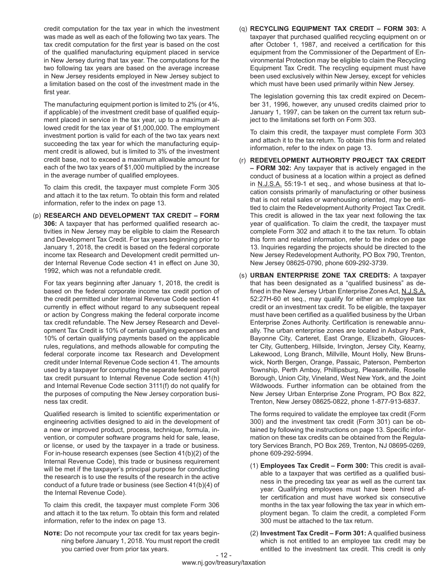credit computation for the tax year in which the investment was made as well as each of the following two tax years. The tax credit computation for the first year is based on the cost of the qualified manufacturing equipment placed in service in New Jersey during that tax year. The computations for the two following tax years are based on the average increase in New Jersey residents employed in New Jersey subject to a limitation based on the cost of the investment made in the first year.

The manufacturing equipment portion is limited to 2% (or 4%, if applicable) of the investment credit base of qualified equipment placed in service in the tax year, up to a maximum allowed credit for the tax year of \$1,000,000. The employment investment portion is valid for each of the two tax years next succeeding the tax year for which the manufacturing equipment credit is allowed, but is limited to 3% of the investment credit base, not to exceed a maximum allowable amount for each of the two tax years of \$1,000 multiplied by the increase in the average number of qualified employees.

To claim this credit, the taxpayer must complete Form 305 and attach it to the tax return. To obtain this form and related information, refer to the index on page 13.

(p) **RESEARCH AND DEVELOPMENT TAX CREDIT – FORM 306:** A taxpayer that has performed qualified research activities in New Jersey may be eligible to claim the Research and Development Tax Credit. For tax years beginning prior to January 1, 2018, the credit is based on the federal corporate income tax Research and Development credit permitted under Internal Revenue Code section 41 in effect on June 30, 1992, which was not a refundable credit.

For tax years beginning after January 1, 2018, the credit is based on the federal corporate income tax credit portion of the credit permitted under Internal Revenue Code section 41 currently in effect without regard to any subsequent repeal or action by Congress making the federal corporate income tax credit refundable. The New Jersey Research and Development Tax Credit is 10% of certain qualifying expenses and 10% of certain qualifying payments based on the applicable rules, regulations, and methods allowable for computing the federal corporate income tax Research and Development credit under Internal Revenue Code section 41. The amounts used by a taxpayer for computing the separate federal payroll tax credit pursuant to Internal Revenue Code section 41(h) and Internal Revenue Code section 3111(f) do not qualify for the purposes of computing the New Jersey corporation business tax credit.

Qualified research is limited to scientific experimentation or engineering activities designed to aid in the development of a new or improved product, process, technique, formula, invention, or computer software programs held for sale, lease, or license, or used by the taxpayer in a trade or business. For in-house research expenses (see Section 41(b)(2) of the Internal Revenue Code), this trade or business requirement will be met if the taxpayer's principal purpose for conducting the research is to use the results of the research in the active conduct of a future trade or business (see Section 41(b)(4) of the Internal Revenue Code).

To claim this credit, the taxpayer must complete Form 306 and attach it to the tax return. To obtain this form and related information, refer to the index on page 13.

**Note:** Do not recompute your tax credit for tax years beginning before January 1, 2018. You must report the credit you carried over from prior tax years.

(q) **RECYCLING EQUIPMENT TAX CREDIT – FORM 303:** A taxpayer that purchased qualified recycling equipment on or after October 1, 1987, and received a certification for this equipment from the Commissioner of the Department of Environmental Protection may be eligible to claim the Recycling Equipment Tax Credit. The recycling equipment must have been used exclusively within New Jersey, except for vehicles which must have been used primarily within New Jersey.

The legislation governing this tax credit expired on December 31, 1996, however, any unused credits claimed prior to January 1, 1997, can be taken on the current tax return subject to the limitations set forth on Form 303.

To claim this credit, the taxpayer must complete Form 303 and attach it to the tax return. To obtain this form and related information, refer to the index on page 13.

- (r) **REDEVELOPMENT AUTHORITY PROJECT TAX CREDIT – FORM 302:** Any taxpayer that is actively engaged in the conduct of business at a location within a project as defined in N.J.S.A. 55:19-1 et seq., and whose business at that location consists primarily of manufacturing or other business that is not retail sales or warehousing oriented, may be entitled to claim the Redevelopment Authority Project Tax Credit. This credit is allowed in the tax year next following the tax year of qualification. To claim the credit, the taxpayer must complete Form 302 and attach it to the tax return. To obtain this form and related information, refer to the index on page 13. Inquiries regarding the projects should be directed to the New Jersey Redevelopment Authority, PO Box 790, Trenton, New Jersey 08625-0790, phone 609-292-3739.
- (s) **URBAN ENTERPRISE ZONE TAX CREDITS:** A taxpayer that has been designated as a "qualified business" as defined in the New Jersey Urban Enterprise Zones Act, N.J.S.A. 52:27H-60 et seq., may qualify for either an employee tax credit or an investment tax credit. To be eligible, the taxpayer must have been certified as a qualified business by the Urban Enterprise Zones Authority. Certification is renewable annually. The urban enterprise zones are located in Asbury Park, Bayonne City, Carteret, East Orange, Elizabeth, Gloucester City, Guttenberg, Hillside, Irvington, Jersey City, Kearny, Lakewood, Long Branch, Millville, Mount Holly, New Brunswick, North Bergen, Orange, Passaic, Paterson, Pemberton Township, Perth Amboy, Phillipsburg, Pleasantville, Roselle Borough, Union City, Vineland, West New York, and the Joint Wildwoods. Further information can be obtained from the New Jersey Urban Enterprise Zone Program, PO Box 822, Trenton, New Jersey 08625-0822, phone 1-877-913-6837.

The forms required to validate the employee tax credit (Form 300) and the investment tax credit (Form 301) can be obtained by following the instructions on page 13. Specific information on these tax credits can be obtained from the Regulatory Services Branch, PO Box 269, Trenton, NJ 08695-0269, phone 609-292-5994.

- (1) **Employees Tax Credit Form 300:** This credit is available to a taxpayer that was certified as a qualified business in the preceding tax year as well as the current tax year. Qualifying employees must have been hired after certification and must have worked six consecutive months in the tax year following the tax year in which employment began. To claim the credit, a completed Form 300 must be attached to the tax return.
- (2) **Investment Tax Credit Form 301:** A qualified business which is not entitled to an employee tax credit may be entitled to the investment tax credit. This credit is only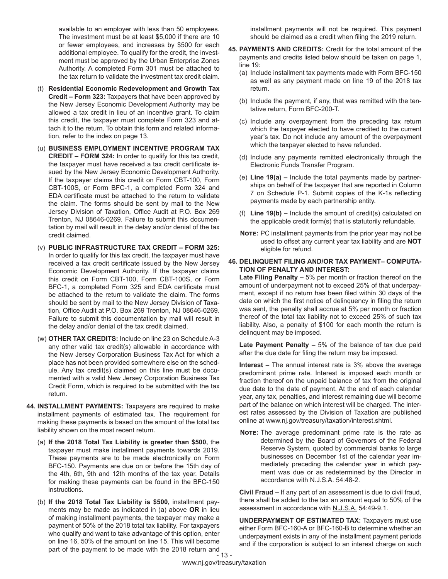available to an employer with less than 50 employees. The investment must be at least \$5,000 if there are 10 or fewer employees, and increases by \$500 for each additional employee. To qualify for the credit, the investment must be approved by the Urban Enterprise Zones Authority. A completed Form 301 must be attached to the tax return to validate the investment tax credit claim.

- (t) **Residential Economic Redevelopment and Growth Tax Credit – Form 323:** Taxpayers that have been approved by the New Jersey Economic Development Authority may be allowed a tax credit in lieu of an incentive grant. To claim this credit, the taxpayer must complete Form 323 and attach it to the return. To obtain this form and related information, refer to the index on page 13.
- (u) **BUSINESS EMPLOYMENT INCENTIVE PROGRAM TAX CREDIT – FORM 324:** In order to qualify for this tax credit, the taxpayer must have received a tax credit certificate issued by the New Jersey Economic Development Authority. If the taxpayer claims this credit on Form CBT-100, Form CBT-100S, or Form BFC-1, a completed Form 324 and EDA certificate must be attached to the return to validate the claim. The forms should be sent by mail to the New Jersey Division of Taxation, Office Audit at P.O. Box 269 Trenton, NJ 08646-0269. Failure to submit this documentation by mail will result in the delay and/or denial of the tax credit claimed.
- (v) **PUBLIC INFRASTRUCTURE TAX CREDIT FORM 325:** In order to qualify for this tax credit, the taxpayer must have received a tax credit certificate issued by the New Jersey Economic Development Authority. If the taxpayer claims this credit on Form CBT-100, Form CBT-100S, or Form BFC-1, a completed Form 325 and EDA certificate must be attached to the return to validate the claim. The forms should be sent by mail to the New Jersey Division of Taxation, Office Audit at P.O. Box 269 Trenton, NJ 08646-0269. Failure to submit this documentation by mail will result in the delay and/or denial of the tax credit claimed.
- (w) **OTHER TAX CREDITS:** Include on line 23 on Schedule A-3 any other valid tax credit(s) allowable in accordance with the New Jersey Corporation Business Tax Act for which a place has not been provided somewhere else on the schedule. Any tax credit(s) claimed on this line must be documented with a valid New Jersey Corporation Business Tax Credit Form, which is required to be submitted with the tax return.
- **44. INSTALLMENT PAYMENTS:** Taxpayers are required to make installment payments of estimated tax. The requirement for making these payments is based on the amount of the total tax liability shown on the most recent return.
	- (a) **If the 2018 Total Tax Liability is greater than \$500,** the taxpayer must make installment payments towards 2019. These payments are to be made electronically on Form BFC-150. Payments are due on or before the 15th day of the 4th, 6th, 9th and 12th months of the tax year. Details for making these payments can be found in the BFC-150 instructions.
	- 13 (b) **If the 2018 Total Tax Liability is \$500,** installment payments may be made as indicated in (a) above **OR** in lieu of making installment payments, the taxpayer may make a payment of 50% of the 2018 total tax liability. For taxpayers who qualify and want to take advantage of this option, enter on line 16, 50% of the amount on line 15. This will become part of the payment to be made with the 2018 return and

installment payments will not be required. This payment should be claimed as a credit when filing the 2019 return.

- **45. PAYMENTS AND CREDITS:** Credit for the total amount of the payments and credits listed below should be taken on page 1, line 19:
	- (a) Include installment tax payments made with Form BFC-150 as well as any payment made on line 19 of the 2018 tax return.
	- (b) Include the payment, if any, that was remitted with the tentative return, Form BFC-200-T.
	- (c) Include any overpayment from the preceding tax return which the taxpayer elected to have credited to the current year's tax. Do not include any amount of the overpayment which the taxpayer elected to have refunded.
	- (d) Include any payments remitted electronically through the Electronic Funds Transfer Program.
	- (e) **Line 19(a)** Include the total payments made by partnerships on behalf of the taxpayer that are reported in Column 7 on Schedule P-1. Submit copies of the K-1s reflecting payments made by each partnership entity.
	- (f) **Line 19(b)** Include the amount of credit(s) calculated on the applicable credit form(s) that is statutorily refundable.
	- **Note:** PC installment payments from the prior year may not be used to offset any current year tax liability and are **NOT** eligible for refund.
- **46. DELINQUENT FILING AND/OR TAX PAYMENT– COMPUTA-TION OF PENALTY AND INTEREST:**

**Late Filing Penalty –** 5% per month or fraction thereof on the amount of underpayment not to exceed 25% of that underpayment, except if no return has been filed within 30 days of the date on which the first notice of delinquency in filing the return was sent, the penalty shall accrue at 5% per month or fraction thereof of the total tax liability not to exceed 25% of such tax liability. Also, a penalty of \$100 for each month the return is delinquent may be imposed.

**Late Payment Penalty –** 5% of the balance of tax due paid after the due date for filing the return may be imposed.

**Interest –** The annual interest rate is 3% above the average predominant prime rate. Interest is imposed each month or fraction thereof on the unpaid balance of tax from the original due date to the date of payment. At the end of each calendar year, any tax, penalties, and interest remaining due will become part of the balance on which interest will be charged. The interest rates assessed by the Division of Taxation are published online at www.nj.gov/treasury/taxation/interest.shtml.

**Note:** The average predominant prime rate is the rate as determined by the Board of Governors of the Federal Reserve System, quoted by commercial banks to large businesses on December 1st of the calendar year immediately preceding the calendar year in which payment was due or as redetermined by the Director in accordance with N.J.S.A. 54:48-2.

**Civil Fraud –** If any part of an assessment is due to civil fraud, there shall be added to the tax an amount equal to 50% of the assessment in accordance with N.J.S.A. 54:49-9.1.

**UNDERPAYMENT OF ESTIMATED TAX:** Taxpayers must use either Form BFC-160-A or BFC-160-B to determine whether an underpayment exists in any of the installment payment periods and if the corporation is subject to an interest charge on such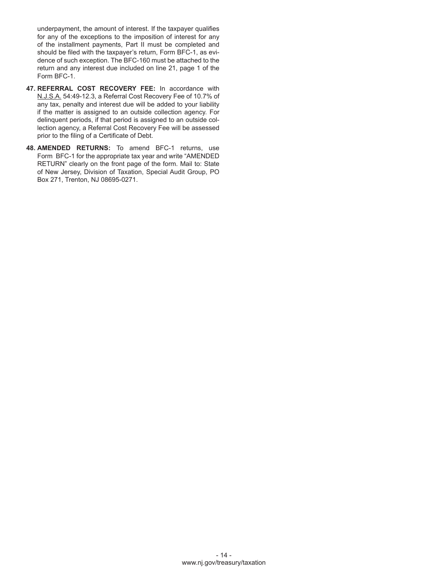underpayment, the amount of interest. If the taxpayer qualifies for any of the exceptions to the imposition of interest for any of the installment payments, Part II must be completed and should be filed with the taxpayer's return, Form BFC-1, as evidence of such exception. The BFC-160 must be attached to the return and any interest due included on line 21, page 1 of the Form BFC-1.

- **47. REFERRAL COST RECOVERY FEE:** In accordance with N.J.S.A. 54:49-12.3, a Referral Cost Recovery Fee of 10.7% of any tax, penalty and interest due will be added to your liability if the matter is assigned to an outside collection agency. For delinquent periods, if that period is assigned to an outside collection agency, a Referral Cost Recovery Fee will be assessed prior to the filing of a Certificate of Debt.
- **48. AMENDED RETURNS:** To amend BFC-1 returns, use Form BFC-1 for the appropriate tax year and write "AMENDED RETURN" clearly on the front page of the form. Mail to: State of New Jersey, Division of Taxation, Special Audit Group, PO Box 271, Trenton, NJ 08695-0271.